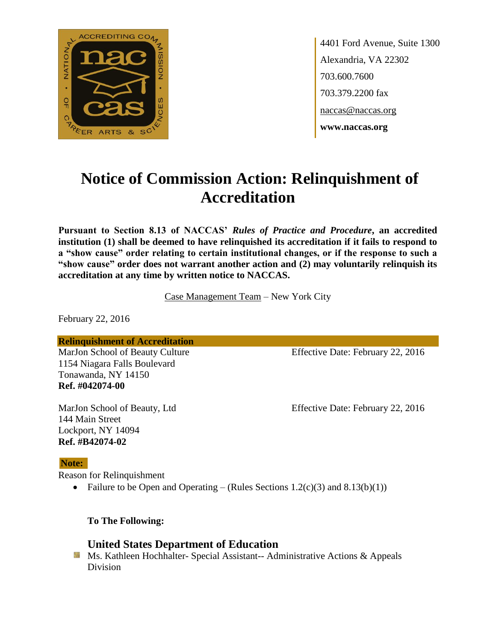

4401 Ford Avenue, Suite 1300 Alexandria, VA 22302 703.600.7600 703.379.2200 fax naccas@naccas.org **www.naccas.org**

# **Notice of Commission Action: Relinquishment of Accreditation**

**Pursuant to Section 8.13 of NACCAS'** *Rules of Practice and Procedure***, an accredited institution (1) shall be deemed to have relinquished its accreditation if it fails to respond to a "show cause" order relating to certain institutional changes, or if the response to such a "show cause" order does not warrant another action and (2) may voluntarily relinquish its accreditation at any time by written notice to NACCAS.**

Case Management Team – New York City

February 22, 2016

**Relinquishment of Accreditation**

1154 Niagara Falls Boulevard Tonawanda, NY 14150 **Ref. #042074-00**

144 Main Street

MarJon School of Beauty Culture Effective Date: February 22, 2016

MarJon School of Beauty, Ltd Effective Date: February 22, 2016

#### **Note:**

Reason for Relinquishment

Lockport, NY 14094 **Ref. #B42074-02**

• Failure to be Open and Operating – (Rules Sections  $1.2(c)(3)$  and  $8.13(b)(1))$ 

**To The Following:**

## **United States Department of Education**

**Ms. Kathleen Hochhalter- Special Assistant-- Administrative Actions & Appeals** Division